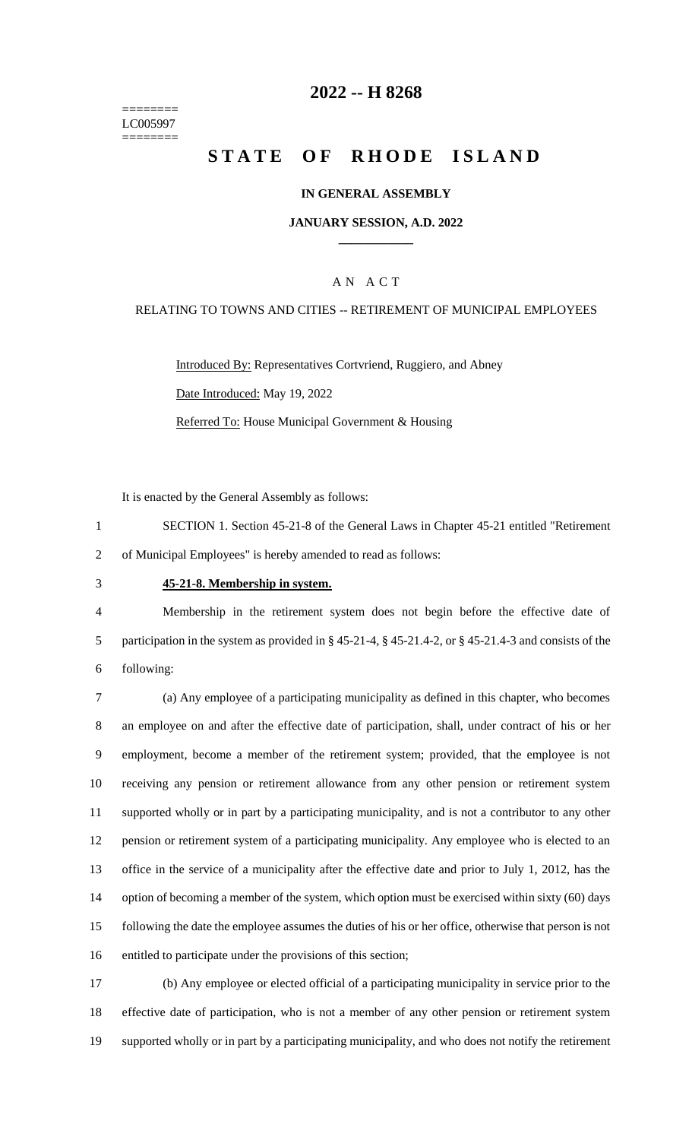======== LC005997 ========

## **2022 -- H 8268**

# **STATE OF RHODE ISLAND**

### **IN GENERAL ASSEMBLY**

### **JANUARY SESSION, A.D. 2022 \_\_\_\_\_\_\_\_\_\_\_\_**

## A N A C T

### RELATING TO TOWNS AND CITIES -- RETIREMENT OF MUNICIPAL EMPLOYEES

Introduced By: Representatives Cortvriend, Ruggiero, and Abney Date Introduced: May 19, 2022 Referred To: House Municipal Government & Housing

It is enacted by the General Assembly as follows:

- 1 SECTION 1. Section 45-21-8 of the General Laws in Chapter 45-21 entitled "Retirement 2 of Municipal Employees" is hereby amended to read as follows:
- 

#### 3 **45-21-8. Membership in system.**

4 Membership in the retirement system does not begin before the effective date of 5 participation in the system as provided in § 45-21-4, § 45-21.4-2, or § 45-21.4-3 and consists of the 6 following:

 (a) Any employee of a participating municipality as defined in this chapter, who becomes an employee on and after the effective date of participation, shall, under contract of his or her employment, become a member of the retirement system; provided, that the employee is not receiving any pension or retirement allowance from any other pension or retirement system supported wholly or in part by a participating municipality, and is not a contributor to any other pension or retirement system of a participating municipality. Any employee who is elected to an office in the service of a municipality after the effective date and prior to July 1, 2012, has the 14 option of becoming a member of the system, which option must be exercised within sixty (60) days following the date the employee assumes the duties of his or her office, otherwise that person is not entitled to participate under the provisions of this section;

17 (b) Any employee or elected official of a participating municipality in service prior to the 18 effective date of participation, who is not a member of any other pension or retirement system 19 supported wholly or in part by a participating municipality, and who does not notify the retirement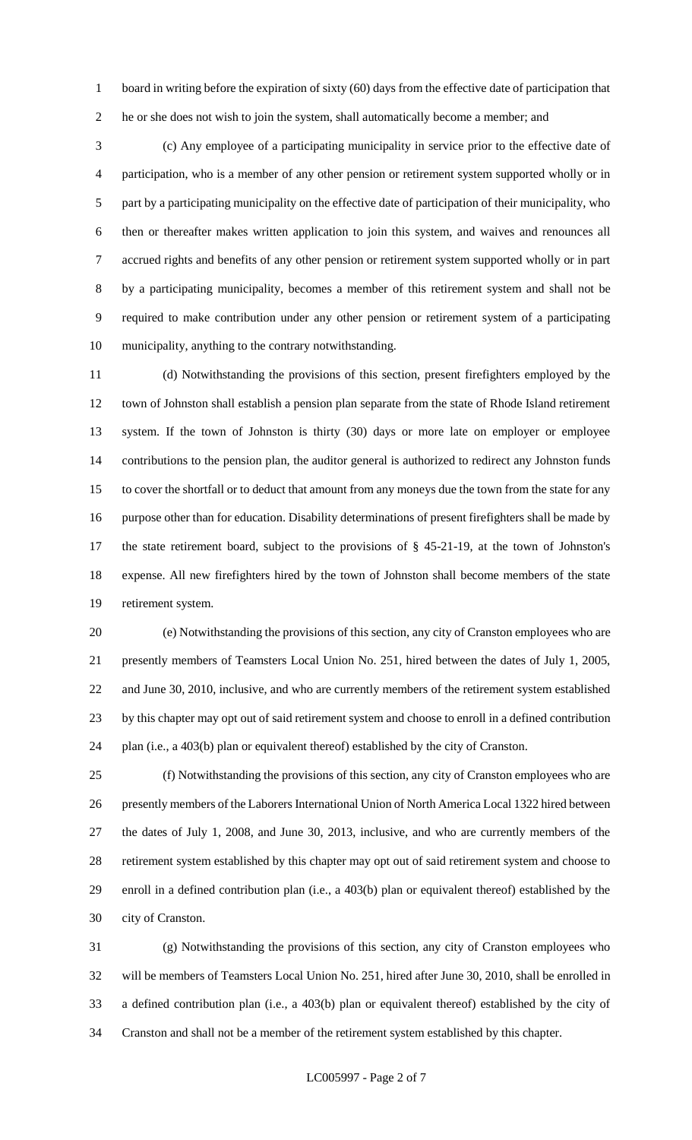1 board in writing before the expiration of sixty (60) days from the effective date of participation that he or she does not wish to join the system, shall automatically become a member; and

 (c) Any employee of a participating municipality in service prior to the effective date of participation, who is a member of any other pension or retirement system supported wholly or in part by a participating municipality on the effective date of participation of their municipality, who then or thereafter makes written application to join this system, and waives and renounces all accrued rights and benefits of any other pension or retirement system supported wholly or in part by a participating municipality, becomes a member of this retirement system and shall not be required to make contribution under any other pension or retirement system of a participating municipality, anything to the contrary notwithstanding.

 (d) Notwithstanding the provisions of this section, present firefighters employed by the town of Johnston shall establish a pension plan separate from the state of Rhode Island retirement system. If the town of Johnston is thirty (30) days or more late on employer or employee contributions to the pension plan, the auditor general is authorized to redirect any Johnston funds to cover the shortfall or to deduct that amount from any moneys due the town from the state for any purpose other than for education. Disability determinations of present firefighters shall be made by the state retirement board, subject to the provisions of § 45-21-19, at the town of Johnston's expense. All new firefighters hired by the town of Johnston shall become members of the state retirement system.

 (e) Notwithstanding the provisions of this section, any city of Cranston employees who are presently members of Teamsters Local Union No. 251, hired between the dates of July 1, 2005, and June 30, 2010, inclusive, and who are currently members of the retirement system established by this chapter may opt out of said retirement system and choose to enroll in a defined contribution plan (i.e., a 403(b) plan or equivalent thereof) established by the city of Cranston.

 (f) Notwithstanding the provisions of this section, any city of Cranston employees who are presently members of the Laborers International Union of North America Local 1322 hired between the dates of July 1, 2008, and June 30, 2013, inclusive, and who are currently members of the retirement system established by this chapter may opt out of said retirement system and choose to enroll in a defined contribution plan (i.e., a 403(b) plan or equivalent thereof) established by the city of Cranston.

 (g) Notwithstanding the provisions of this section, any city of Cranston employees who will be members of Teamsters Local Union No. 251, hired after June 30, 2010, shall be enrolled in a defined contribution plan (i.e., a 403(b) plan or equivalent thereof) established by the city of Cranston and shall not be a member of the retirement system established by this chapter.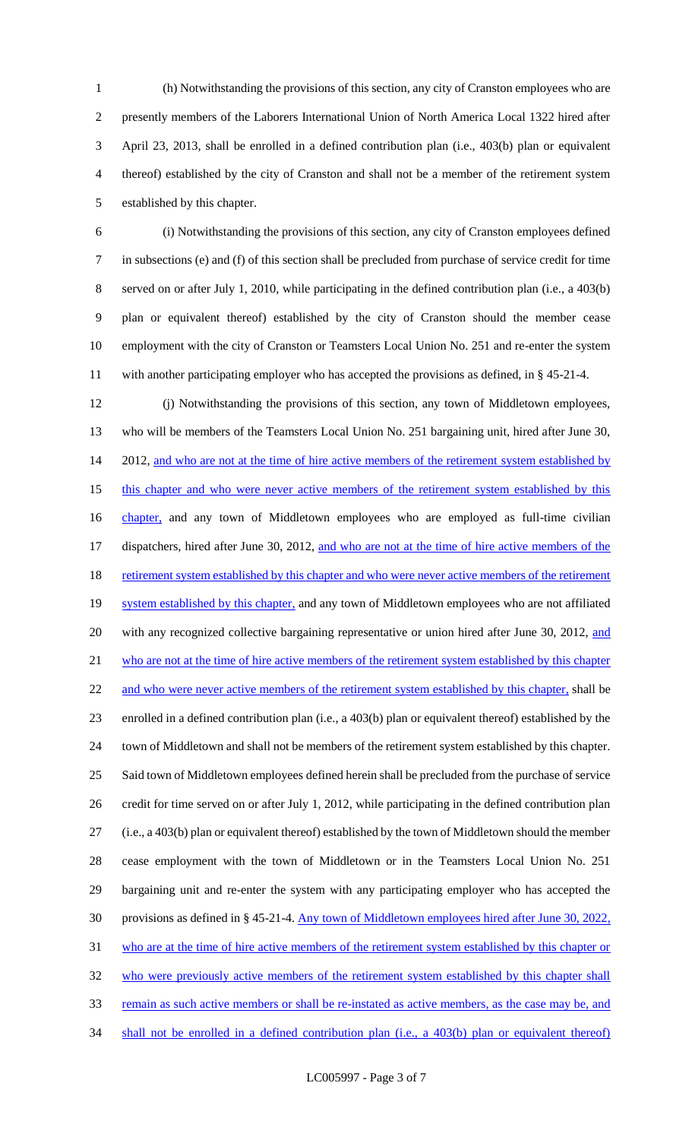(h) Notwithstanding the provisions of this section, any city of Cranston employees who are presently members of the Laborers International Union of North America Local 1322 hired after April 23, 2013, shall be enrolled in a defined contribution plan (i.e., 403(b) plan or equivalent thereof) established by the city of Cranston and shall not be a member of the retirement system established by this chapter.

 (i) Notwithstanding the provisions of this section, any city of Cranston employees defined in subsections (e) and (f) of this section shall be precluded from purchase of service credit for time served on or after July 1, 2010, while participating in the defined contribution plan (i.e., a 403(b) plan or equivalent thereof) established by the city of Cranston should the member cease employment with the city of Cranston or Teamsters Local Union No. 251 and re-enter the system with another participating employer who has accepted the provisions as defined, in § 45-21-4.

 (j) Notwithstanding the provisions of this section, any town of Middletown employees, who will be members of the Teamsters Local Union No. 251 bargaining unit, hired after June 30, 14 2012, and who are not at the time of hire active members of the retirement system established by 15 this chapter and who were never active members of the retirement system established by this 16 chapter, and any town of Middletown employees who are employed as full-time civilian 17 dispatchers, hired after June 30, 2012, and who are not at the time of hire active members of the 18 retirement system established by this chapter and who were never active members of the retirement 19 system established by this chapter, and any town of Middletown employees who are not affiliated 20 with any recognized collective bargaining representative or union hired after June 30, 2012, and 21 who are not at the time of hire active members of the retirement system established by this chapter 22 and who were never active members of the retirement system established by this chapter, shall be enrolled in a defined contribution plan (i.e., a 403(b) plan or equivalent thereof) established by the town of Middletown and shall not be members of the retirement system established by this chapter. Said town of Middletown employees defined herein shall be precluded from the purchase of service credit for time served on or after July 1, 2012, while participating in the defined contribution plan (i.e., a 403(b) plan or equivalent thereof) established by the town of Middletown should the member cease employment with the town of Middletown or in the Teamsters Local Union No. 251 bargaining unit and re-enter the system with any participating employer who has accepted the provisions as defined in § 45-21-4. Any town of Middletown employees hired after June 30, 2022, who are at the time of hire active members of the retirement system established by this chapter or 32 who were previously active members of the retirement system established by this chapter shall 33 remain as such active members or shall be re-instated as active members, as the case may be, and 34 shall not be enrolled in a defined contribution plan (i.e., a 403(b) plan or equivalent thereof)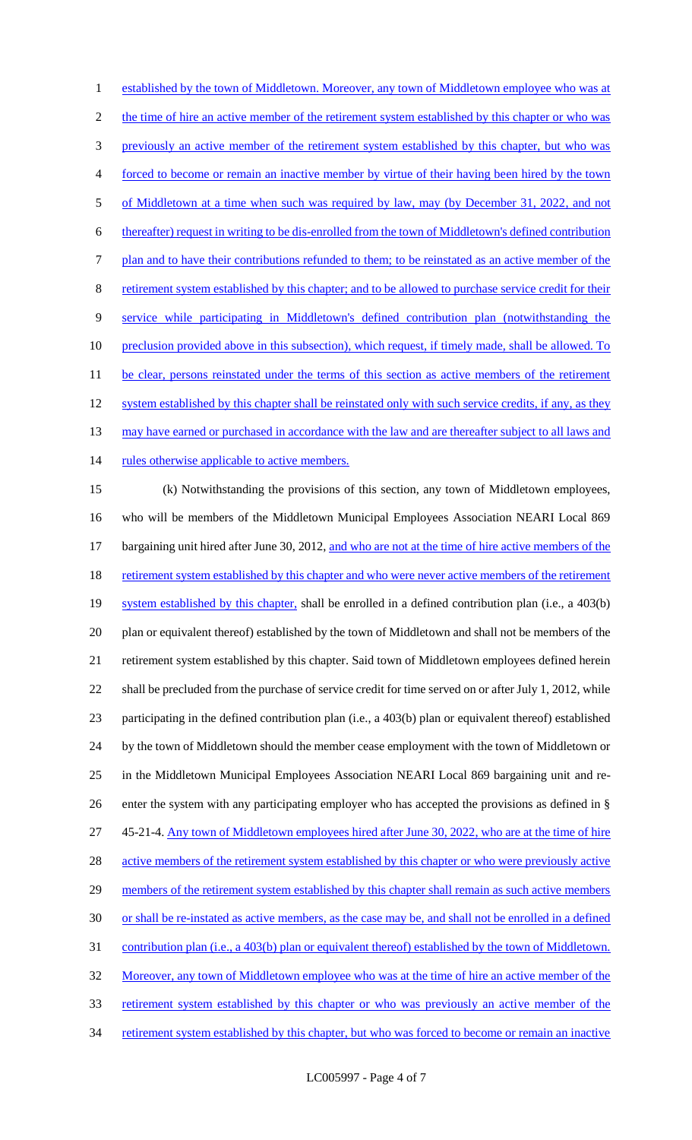established by the town of Middletown. Moreover, any town of Middletown employee who was at 2 the time of hire an active member of the retirement system established by this chapter or who was previously an active member of the retirement system established by this chapter, but who was forced to become or remain an inactive member by virtue of their having been hired by the town 5 of Middletown at a time when such was required by law, may (by December 31, 2022, and not thereafter) request in writing to be dis-enrolled from the town of Middletown's defined contribution plan and to have their contributions refunded to them; to be reinstated as an active member of the retirement system established by this chapter; and to be allowed to purchase service credit for their service while participating in Middletown's defined contribution plan (notwithstanding the 10 preclusion provided above in this subsection), which request, if timely made, shall be allowed. To 11 be clear, persons reinstated under the terms of this section as active members of the retirement 12 system established by this chapter shall be reinstated only with such service credits, if any, as they 13 may have earned or purchased in accordance with the law and are thereafter subject to all laws and 14 rules otherwise applicable to active members. (k) Notwithstanding the provisions of this section, any town of Middletown employees, who will be members of the Middletown Municipal Employees Association NEARI Local 869 17 bargaining unit hired after June 30, 2012, and who are not at the time of hire active members of the 18 retirement system established by this chapter and who were never active members of the retirement 19 system established by this chapter, shall be enrolled in a defined contribution plan (i.e., a 403(b) plan or equivalent thereof) established by the town of Middletown and shall not be members of the retirement system established by this chapter. Said town of Middletown employees defined herein shall be precluded from the purchase of service credit for time served on or after July 1, 2012, while participating in the defined contribution plan (i.e., a 403(b) plan or equivalent thereof) established by the town of Middletown should the member cease employment with the town of Middletown or in the Middletown Municipal Employees Association NEARI Local 869 bargaining unit and re- enter the system with any participating employer who has accepted the provisions as defined in § 45-21-4. Any town of Middletown employees hired after June 30, 2022, who are at the time of hire 28 active members of the retirement system established by this chapter or who were previously active 29 members of the retirement system established by this chapter shall remain as such active members or shall be re-instated as active members, as the case may be, and shall not be enrolled in a defined contribution plan (i.e., a 403(b) plan or equivalent thereof) established by the town of Middletown. 32 Moreover, any town of Middletown employee who was at the time of hire an active member of the retirement system established by this chapter or who was previously an active member of the

34 retirement system established by this chapter, but who was forced to become or remain an inactive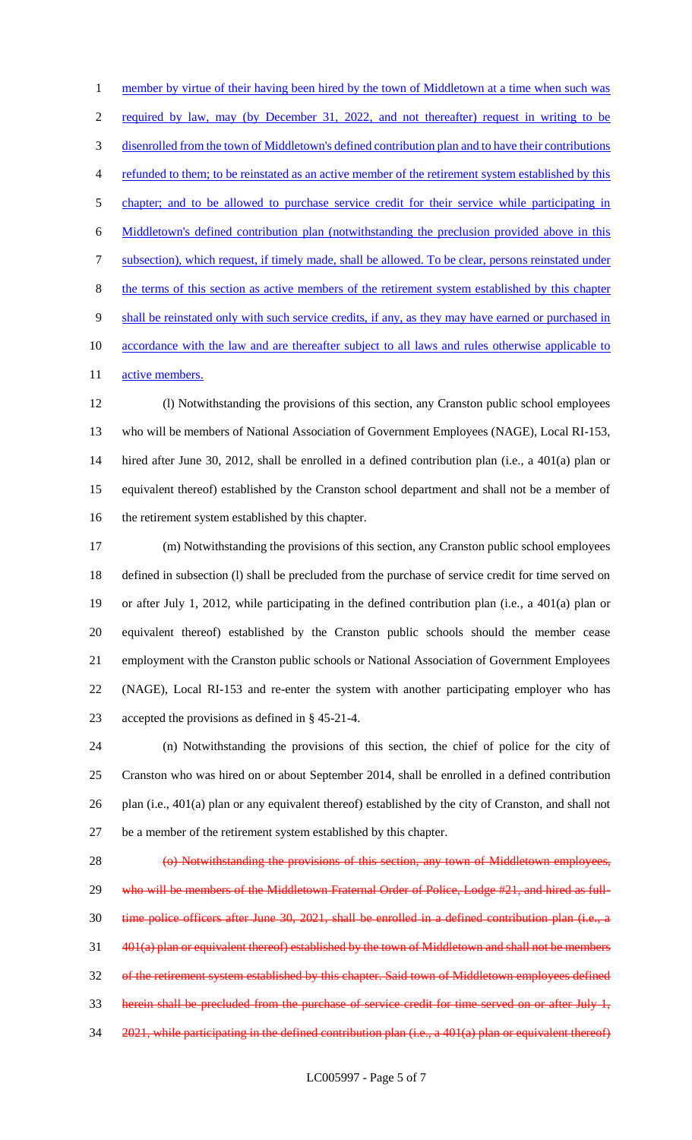1 member by virtue of their having been hired by the town of Middletown at a time when such was required by law, may (by December 31, 2022, and not thereafter) request in writing to be disenrolled from the town of Middletown's defined contribution plan and to have their contributions refunded to them; to be reinstated as an active member of the retirement system established by this chapter; and to be allowed to purchase service credit for their service while participating in Middletown's defined contribution plan (notwithstanding the preclusion provided above in this subsection), which request, if timely made, shall be allowed. To be clear, persons reinstated under the terms of this section as active members of the retirement system established by this chapter shall be reinstated only with such service credits, if any, as they may have earned or purchased in 10 accordance with the law and are thereafter subject to all laws and rules otherwise applicable to 11 active members.

 (l) Notwithstanding the provisions of this section, any Cranston public school employees who will be members of National Association of Government Employees (NAGE), Local RI-153, hired after June 30, 2012, shall be enrolled in a defined contribution plan (i.e., a 401(a) plan or equivalent thereof) established by the Cranston school department and shall not be a member of the retirement system established by this chapter.

 (m) Notwithstanding the provisions of this section, any Cranston public school employees defined in subsection (l) shall be precluded from the purchase of service credit for time served on or after July 1, 2012, while participating in the defined contribution plan (i.e., a 401(a) plan or equivalent thereof) established by the Cranston public schools should the member cease employment with the Cranston public schools or National Association of Government Employees (NAGE), Local RI-153 and re-enter the system with another participating employer who has accepted the provisions as defined in § 45-21-4.

 (n) Notwithstanding the provisions of this section, the chief of police for the city of Cranston who was hired on or about September 2014, shall be enrolled in a defined contribution plan (i.e., 401(a) plan or any equivalent thereof) established by the city of Cranston, and shall not be a member of the retirement system established by this chapter.

 (o) Notwithstanding the provisions of this section, any town of Middletown employees, 29 who will be members of the Middletown Fraternal Order of Police, Lodge #21, and hired as full- time police officers after June 30, 2021, shall be enrolled in a defined contribution plan (i.e., a 401(a) plan or equivalent thereof) established by the town of Middletown and shall not be members of the retirement system established by this chapter. Said town of Middletown employees defined herein shall be precluded from the purchase of service credit for time served on or after July 1, 34 2021, while participating in the defined contribution plan (i.e., a 401(a) plan or equivalent thereof)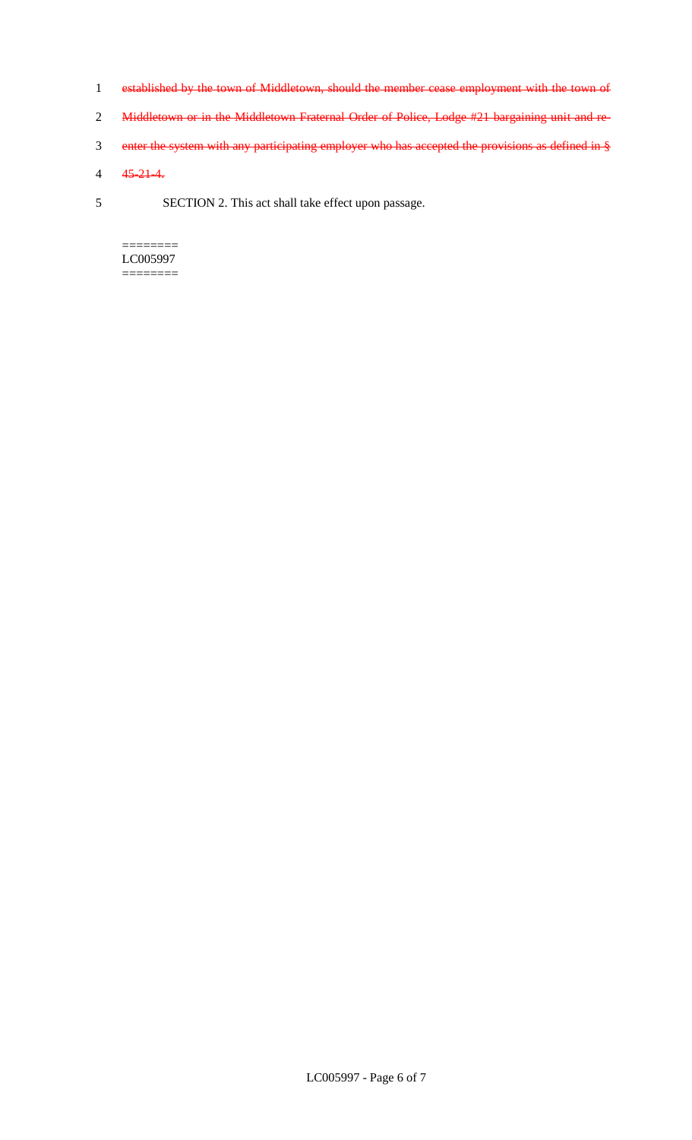- 1 established by the town of Middletown, should the member cease employment with the town of
- 2 Middletown or in the Middletown Fraternal Order of Police, Lodge #21 bargaining unit and re-
- 3 enter the system with any participating employer who has accepted the provisions as defined in §
- 4 45-21-4.
- 5 SECTION 2. This act shall take effect upon passage.

 $=$ LC005997 ========